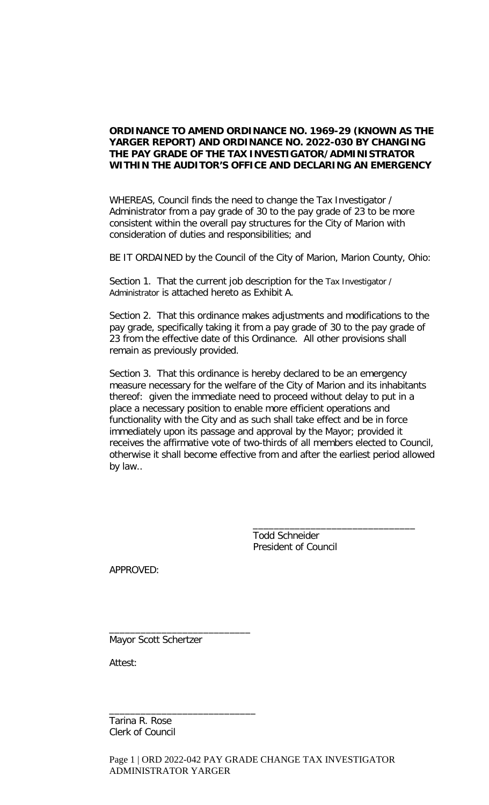## **ORDINANCE TO AMEND ORDINANCE NO. 1969-29 (KNOWN AS THE YARGER REPORT) AND ORDINANCE NO. 2022-030 BY CHANGING THE PAY GRADE OF THE TAX INVESTIGATOR/ADMINISTRATOR WITHIN THE AUDITOR'S OFFICE AND DECLARING AN EMERGENCY**

WHEREAS, Council finds the need to change the Tax Investigator / Administrator from a pay grade of 30 to the pay grade of 23 to be more consistent within the overall pay structures for the City of Marion with consideration of duties and responsibilities; and

BE IT ORDAINED by the Council of the City of Marion, Marion County, Ohio:

Section 1. That the current job description for the Tax Investigator / Administrator is attached hereto as Exhibit A.

Section 2. That this ordinance makes adjustments and modifications to the pay grade, specifically taking it from a pay grade of 30 to the pay grade of 23 from the effective date of this Ordinance. All other provisions shall remain as previously provided.

Section 3. That this ordinance is hereby declared to be an emergency measure necessary for the welfare of the City of Marion and its inhabitants thereof: given the immediate need to proceed without delay to put in a place a necessary position to enable more efficient operations and functionality with the City and as such shall take effect and be in force immediately upon its passage and approval by the Mayor; provided it receives the affirmative vote of two-thirds of all members elected to Council, otherwise it shall become effective from and after the earliest period allowed by law..

> Todd Schneider President of Council

\_\_\_\_\_\_\_\_\_\_\_\_\_\_\_\_\_\_\_\_\_\_\_\_\_\_\_\_\_\_\_

APPROVED:

Mayor Scott Schertzer

\_\_\_\_\_\_\_\_\_\_\_\_\_\_\_\_\_\_\_\_\_\_\_\_\_\_\_

\_\_\_\_\_\_\_\_\_\_\_\_\_\_\_\_\_\_\_\_\_\_\_\_\_\_\_\_

Attest:

Tarina R. Rose Clerk of Council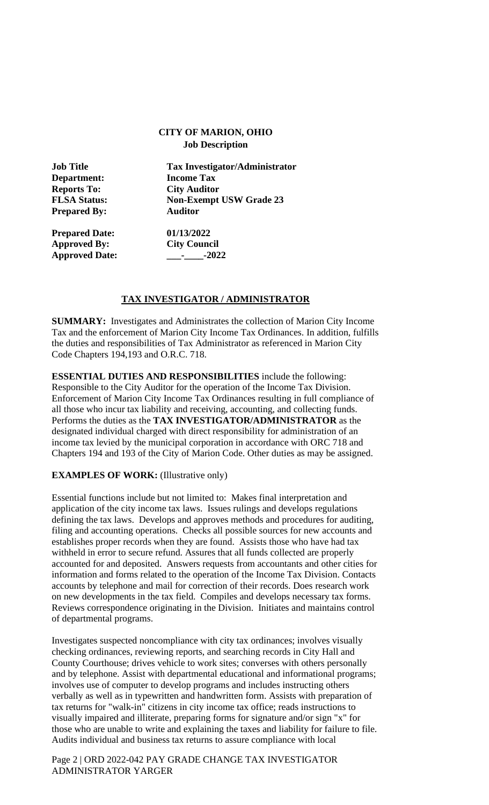## **CITY OF MARION, OHIO Job Description**

| Job Title             | <b>Tax Investigator/Administrator</b> |
|-----------------------|---------------------------------------|
| Department:           | <b>Income Tax</b>                     |
| <b>Reports To:</b>    | <b>City Auditor</b>                   |
| <b>FLSA Status:</b>   | <b>Non-Exempt USW Grade 23</b>        |
| <b>Prepared By:</b>   | <b>Auditor</b>                        |
| <b>Prepared Date:</b> | 01/13/2022                            |
| <b>Approved By:</b>   | <b>City Council</b>                   |

## **TAX INVESTIGATOR / ADMINISTRATOR**

**SUMMARY:** Investigates and Administrates the collection of Marion City Income Tax and the enforcement of Marion City Income Tax Ordinances. In addition, fulfills the duties and responsibilities of Tax Administrator as referenced in Marion City Code Chapters 194,193 and O.R.C. 718.

**ESSENTIAL DUTIES AND RESPONSIBILITIES** include the following: Responsible to the City Auditor for the operation of the Income Tax Division. Enforcement of Marion City Income Tax Ordinances resulting in full compliance of all those who incur tax liability and receiving, accounting, and collecting funds. Performs the duties as the **TAX INVESTIGATOR/ADMINISTRATOR** as the designated individual charged with direct responsibility for administration of an income tax levied by the municipal corporation in accordance with ORC 718 and Chapters 194 and 193 of the City of Marion Code. Other duties as may be assigned.

## **EXAMPLES OF WORK:** (Illustrative only)

**Approved Date: \_\_\_-\_\_\_\_-2022**

Essential functions include but not limited to: Makes final interpretation and application of the city income tax laws. Issues rulings and develops regulations defining the tax laws. Develops and approves methods and procedures for auditing, filing and accounting operations. Checks all possible sources for new accounts and establishes proper records when they are found. Assists those who have had tax withheld in error to secure refund. Assures that all funds collected are properly accounted for and deposited. Answers requests from accountants and other cities for information and forms related to the operation of the Income Tax Division. Contacts accounts by telephone and mail for correction of their records. Does research work on new developments in the tax field. Compiles and develops necessary tax forms. Reviews correspondence originating in the Division. Initiates and maintains control of departmental programs.

Investigates suspected noncompliance with city tax ordinances; involves visually checking ordinances, reviewing reports, and searching records in City Hall and County Courthouse; drives vehicle to work sites; converses with others personally and by telephone. Assist with departmental educational and informational programs; involves use of computer to develop programs and includes instructing others verbally as well as in typewritten and handwritten form. Assists with preparation of tax returns for "walk-in" citizens in city income tax office; reads instructions to visually impaired and illiterate, preparing forms for signature and/or sign "x" for those who are unable to write and explaining the taxes and liability for failure to file. Audits individual and business tax returns to assure compliance with local

Page 2 | ORD 2022-042 PAY GRADE CHANGE TAX INVESTIGATOR ADMINISTRATOR YARGER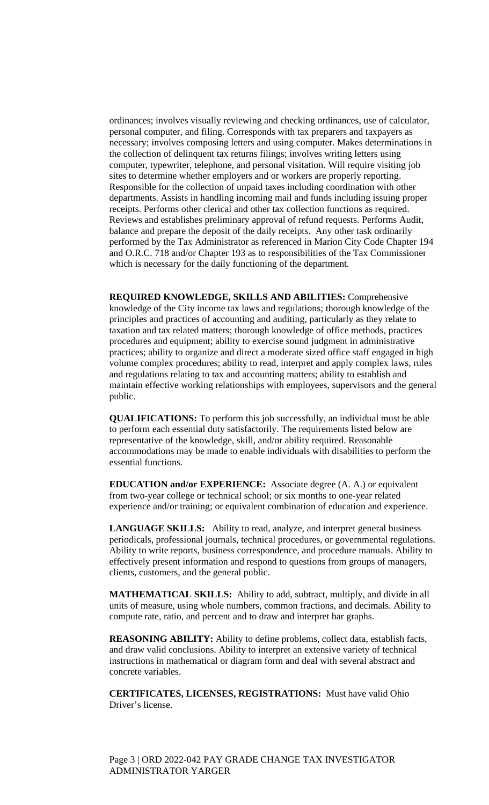ordinances; involves visually reviewing and checking ordinances, use of calculator, personal computer, and filing. Corresponds with tax preparers and taxpayers as necessary; involves composing letters and using computer. Makes determinations in the collection of delinquent tax returns filings; involves writing letters using computer, typewriter, telephone, and personal visitation. Will require visiting job sites to determine whether employers and or workers are properly reporting. Responsible for the collection of unpaid taxes including coordination with other departments. Assists in handling incoming mail and funds including issuing proper receipts. Performs other clerical and other tax collection functions as required. Reviews and establishes preliminary approval of refund requests. Performs Audit, balance and prepare the deposit of the daily receipts. Any other task ordinarily performed by the Tax Administrator as referenced in Marion City Code Chapter 194 and O.R.C. 718 and/or Chapter 193 as to responsibilities of the Tax Commissioner which is necessary for the daily functioning of the department.

**REQUIRED KNOWLEDGE, SKILLS AND ABILITIES:** Comprehensive knowledge of the City income tax laws and regulations; thorough knowledge of the principles and practices of accounting and auditing, particularly as they relate to taxation and tax related matters; thorough knowledge of office methods, practices procedures and equipment; ability to exercise sound judgment in administrative practices; ability to organize and direct a moderate sized office staff engaged in high volume complex procedures; ability to read, interpret and apply complex laws, rules and regulations relating to tax and accounting matters; ability to establish and maintain effective working relationships with employees, supervisors and the general public.

**QUALIFICATIONS:** To perform this job successfully, an individual must be able to perform each essential duty satisfactorily. The requirements listed below are representative of the knowledge, skill, and/or ability required. Reasonable accommodations may be made to enable individuals with disabilities to perform the essential functions.

**EDUCATION and/or EXPERIENCE:** Associate degree (A. A.) or equivalent from two-year college or technical school; or six months to one-year related experience and/or training; or equivalent combination of education and experience.

LANGUAGE SKILLS: Ability to read, analyze, and interpret general business periodicals, professional journals, technical procedures, or governmental regulations. Ability to write reports, business correspondence, and procedure manuals. Ability to effectively present information and respond to questions from groups of managers, clients, customers, and the general public.

**MATHEMATICAL SKILLS:** Ability to add, subtract, multiply, and divide in all units of measure, using whole numbers, common fractions, and decimals. Ability to compute rate, ratio, and percent and to draw and interpret bar graphs.

**REASONING ABILITY:** Ability to define problems, collect data, establish facts, and draw valid conclusions. Ability to interpret an extensive variety of technical instructions in mathematical or diagram form and deal with several abstract and concrete variables.

**CERTIFICATES, LICENSES, REGISTRATIONS:** Must have valid Ohio Driver's license.